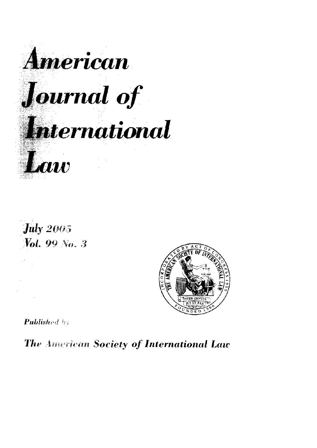





**Published by** 

The American Society of International Law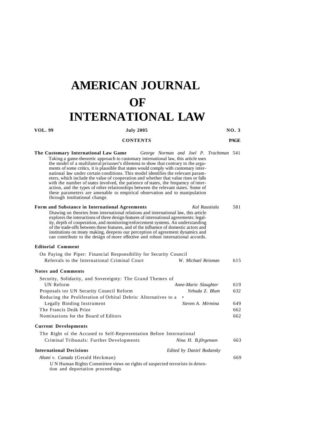## **AMERICAN JOURNAL OF INTERNATIONAL LAW**

| VOL. 99                                                                                                                                                                                                                                                                                                                                                                                                                                                                                                                                                                                                                                                                                                                                                                        | <b>July 2005</b>                                                            |                                                             | <b>NO.3</b>                     |  |
|--------------------------------------------------------------------------------------------------------------------------------------------------------------------------------------------------------------------------------------------------------------------------------------------------------------------------------------------------------------------------------------------------------------------------------------------------------------------------------------------------------------------------------------------------------------------------------------------------------------------------------------------------------------------------------------------------------------------------------------------------------------------------------|-----------------------------------------------------------------------------|-------------------------------------------------------------|---------------------------------|--|
| <b>CONTENTS</b>                                                                                                                                                                                                                                                                                                                                                                                                                                                                                                                                                                                                                                                                                                                                                                |                                                                             |                                                             | <b>PAGE</b>                     |  |
| The Customary International Law Game<br>Taking a game-theoretic approach to customary international law, this article uses<br>the model of a multilateral prisoner's dilemma to show that contrary to the argu-<br>ments of some critics, it is plausible that states would comply with customary inter-<br>national law under certain conditions. This model identifies the relevant param-<br>eters, which include the value of cooperation and whether that value rises or falls<br>with the number of states involved, the patience of states, the frequency of inter-<br>action, and the types of other relationships between the relevant states. Some of<br>these parameters are amenable to empirical observation and to manipulation<br>through institutional change. |                                                                             | George Norman and Joel P. Trachtman 541                     |                                 |  |
| Form and Substance in International Agreements<br>Drawing on theories from international relations and international law, this article<br>explores the interactions of three design features of international agreements: legal-<br>ity, depth of cooperation, and monitoring/enforcement systems. An understanding<br>of the trade-offs between these features, and of the influence of domestic actors and<br>institutions on treaty making, deepens our perception of agreement dynamics and<br>can contribute to the design of more effective and robust international accords.                                                                                                                                                                                            |                                                                             | Kal Raustiala                                               | 581                             |  |
| <b>Editorial Comment</b>                                                                                                                                                                                                                                                                                                                                                                                                                                                                                                                                                                                                                                                                                                                                                       |                                                                             |                                                             |                                 |  |
| On Paying the Piper: Financial Responsibility for Security Council<br>Referrals to the International Criminal Court                                                                                                                                                                                                                                                                                                                                                                                                                                                                                                                                                                                                                                                            |                                                                             | W. Michael Reisman                                          | 615                             |  |
| <b>Notes and Comments</b>                                                                                                                                                                                                                                                                                                                                                                                                                                                                                                                                                                                                                                                                                                                                                      |                                                                             |                                                             |                                 |  |
| Security, Solidarity, and Sovereignty: The Grand Themes of<br>UN Reform<br>Proposals tor UN Security Council Reform<br>Reducing the Proliferation of Orbital Debris: Alternatives to a<br>Legally Binding Instrument<br>The Francis Deák Prize<br>Nominations for the Board of Editors                                                                                                                                                                                                                                                                                                                                                                                                                                                                                         |                                                                             | Anne-Marie Slaughter<br>Yehuda Z. Blum<br>Steven A. Mirmina | 619<br>632<br>649<br>662<br>662 |  |
|                                                                                                                                                                                                                                                                                                                                                                                                                                                                                                                                                                                                                                                                                                                                                                                |                                                                             |                                                             |                                 |  |
| <b>Current Developments</b>                                                                                                                                                                                                                                                                                                                                                                                                                                                                                                                                                                                                                                                                                                                                                    |                                                                             |                                                             |                                 |  |
| The Right of the Accused to Self-Representation Before International<br>Criminal Tribunals: Further Developments                                                                                                                                                                                                                                                                                                                                                                                                                                                                                                                                                                                                                                                               |                                                                             | Nina H. B.j0rgensen                                         | 663                             |  |
| <b>International Decisions</b>                                                                                                                                                                                                                                                                                                                                                                                                                                                                                                                                                                                                                                                                                                                                                 |                                                                             | Edited by Daniel Bodansky                                   |                                 |  |
| Ahani v. Canada (Gerald Heckman)<br>tion and deportation proceedings                                                                                                                                                                                                                                                                                                                                                                                                                                                                                                                                                                                                                                                                                                           | UN Human Rights Committee views on rights of suspected terrorists in deten- |                                                             | 669                             |  |